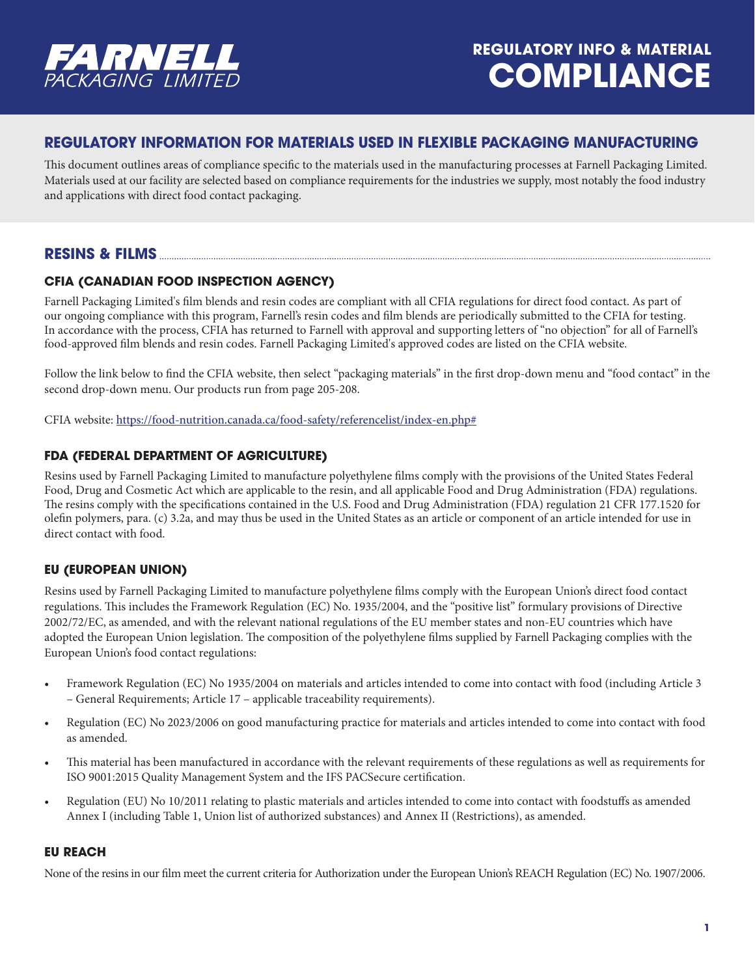

## **REGULATORY INFORMATION FOR MATERIALS USED IN FLEXIBLE PACKAGING MANUFACTURING**

This document outlines areas of compliance specific to the materials used in the manufacturing processes at Farnell Packaging Limited. Materials used at our facility are selected based on compliance requirements for the industries we supply, most notably the food industry and applications with direct food contact packaging.

## **RESINS & FILMS**

## **CFIA (CANADIAN FOOD INSPECTION AGENCY)**

Farnell Packaging Limited's film blends and resin codes are compliant with all CFIA regulations for direct food contact. As part of our ongoing compliance with this program, Farnell's resin codes and film blends are periodically submitted to the CFIA for testing. In accordance with the process, CFIA has returned to Farnell with approval and supporting letters of "no objection" for all of Farnell's food-approved film blends and resin codes. Farnell Packaging Limited's approved codes are listed on the CFIA website.

Follow the link below to find the CFIA website, then select "packaging materials" in the first drop-down menu and "food contact" in the second drop-down menu. Our products run from page 205-208.

CFIA website: https://food-nutrition.canada.ca/food-safety/referencelist/index-en.php#

### **FDA (FEDERAL DEPARTMENT OF AGRICULTURE)**

Resins used by Farnell Packaging Limited to manufacture polyethylene films comply with the provisions of the United States Federal Food, Drug and Cosmetic Act which are applicable to the resin, and all applicable Food and Drug Administration (FDA) regulations. The resins comply with the specifications contained in the U.S. Food and Drug Administration (FDA) regulation 21 CFR 177.1520 for olefin polymers, para. (c) 3.2a, and may thus be used in the United States as an article or component of an article intended for use in direct contact with food.

## **EU (EUROPEAN UNION)**

Resins used by Farnell Packaging Limited to manufacture polyethylene films comply with the European Union's direct food contact regulations. This includes the Framework Regulation (EC) No. 1935/2004, and the "positive list" formulary provisions of Directive 2002/72/EC, as amended, and with the relevant national regulations of the EU member states and non-EU countries which have adopted the European Union legislation. The composition of the polyethylene films supplied by Farnell Packaging complies with the European Union's food contact regulations:

- Framework Regulation (EC) No 1935/2004 on materials and articles intended to come into contact with food (including Article 3 – General Requirements; Article 17 – applicable traceability requirements).
- Regulation (EC) No 2023/2006 on good manufacturing practice for materials and articles intended to come into contact with food as amended.
- This material has been manufactured in accordance with the relevant requirements of these regulations as well as requirements for ISO 9001:2015 Quality Management System and the IFS PACSecure certification.
- Regulation (EU) No 10/2011 relating to plastic materials and articles intended to come into contact with foodstuffs as amended Annex I (including Table 1, Union list of authorized substances) and Annex II (Restrictions), as amended.

#### **EU REACH**

None of the resins in our film meet the current criteria for Authorization under the European Union's REACH Regulation (EC) No. 1907/2006.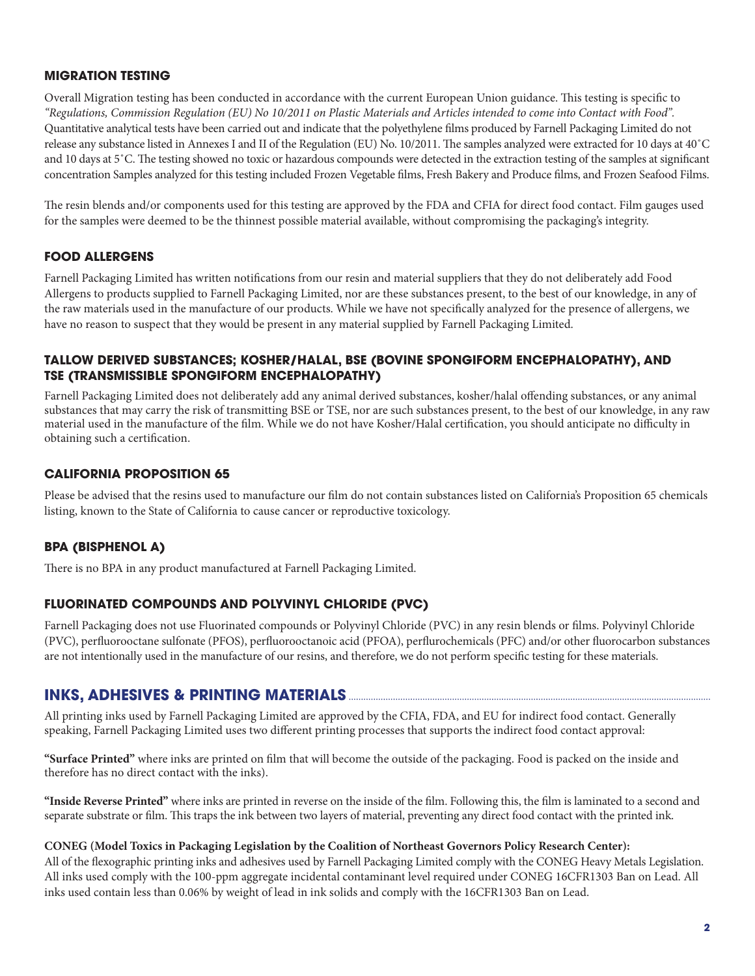### **MIGRATION TESTING**

Overall Migration testing has been conducted in accordance with the current European Union guidance. This testing is specific to *"Regulations, Commission Regulation (EU) No 10/2011 on Plastic Materials and Articles intended to come into Contact with Food".* Quantitative analytical tests have been carried out and indicate that the polyethylene films produced by Farnell Packaging Limited do not release any substance listed in Annexes I and II of the Regulation (EU) No. 10/2011. The samples analyzed were extracted for 10 days at 40˚C and 10 days at 5˚C. The testing showed no toxic or hazardous compounds were detected in the extraction testing of the samples at significant concentration Samples analyzed for this testing included Frozen Vegetable films, Fresh Bakery and Produce films, and Frozen Seafood Films.

The resin blends and/or components used for this testing are approved by the FDA and CFIA for direct food contact. Film gauges used for the samples were deemed to be the thinnest possible material available, without compromising the packaging's integrity.

### **FOOD ALLERGENS**

Farnell Packaging Limited has written notifications from our resin and material suppliers that they do not deliberately add Food Allergens to products supplied to Farnell Packaging Limited, nor are these substances present, to the best of our knowledge, in any of the raw materials used in the manufacture of our products. While we have not specifically analyzed for the presence of allergens, we have no reason to suspect that they would be present in any material supplied by Farnell Packaging Limited.

#### **TALLOW DERIVED SUBSTANCES; KOSHER/HALAL, BSE (BOVINE SPONGIFORM ENCEPHALOPATHY), AND TSE (TRANSMISSIBLE SPONGIFORM ENCEPHALOPATHY)**

Farnell Packaging Limited does not deliberately add any animal derived substances, kosher/halal offending substances, or any animal substances that may carry the risk of transmitting BSE or TSE, nor are such substances present, to the best of our knowledge, in any raw material used in the manufacture of the film. While we do not have Kosher/Halal certification, you should anticipate no difficulty in obtaining such a certification.

#### **CALIFORNIA PROPOSITION 65**

Please be advised that the resins used to manufacture our film do not contain substances listed on California's Proposition 65 chemicals listing, known to the State of California to cause cancer or reproductive toxicology.

#### **BPA (BISPHENOL A)**

There is no BPA in any product manufactured at Farnell Packaging Limited.

#### **FLUORINATED COMPOUNDS AND POLYVINYL CHLORIDE (PVC)**

Farnell Packaging does not use Fluorinated compounds or Polyvinyl Chloride (PVC) in any resin blends or films. Polyvinyl Chloride (PVC), perfluorooctane sulfonate (PFOS), perfluorooctanoic acid (PFOA), perflurochemicals (PFC) and/or other fluorocarbon substances are not intentionally used in the manufacture of our resins, and therefore, we do not perform specific testing for these materials.

## **INKS, ADHESIVES & PRINTING MATERIALS**

All printing inks used by Farnell Packaging Limited are approved by the CFIA, FDA, and EU for indirect food contact. Generally speaking, Farnell Packaging Limited uses two different printing processes that supports the indirect food contact approval:

**"Surface Printed"** where inks are printed on film that will become the outside of the packaging. Food is packed on the inside and therefore has no direct contact with the inks).

**"Inside Reverse Printed"** where inks are printed in reverse on the inside of the film. Following this, the film is laminated to a second and separate substrate or film. This traps the ink between two layers of material, preventing any direct food contact with the printed ink.

#### **CONEG (Model Toxics in Packaging Legislation by the Coalition of Northeast Governors Policy Research Center):**

All of the flexographic printing inks and adhesives used by Farnell Packaging Limited comply with the CONEG Heavy Metals Legislation. All inks used comply with the 100-ppm aggregate incidental contaminant level required under CONEG 16CFR1303 Ban on Lead. All inks used contain less than 0.06% by weight of lead in ink solids and comply with the 16CFR1303 Ban on Lead.